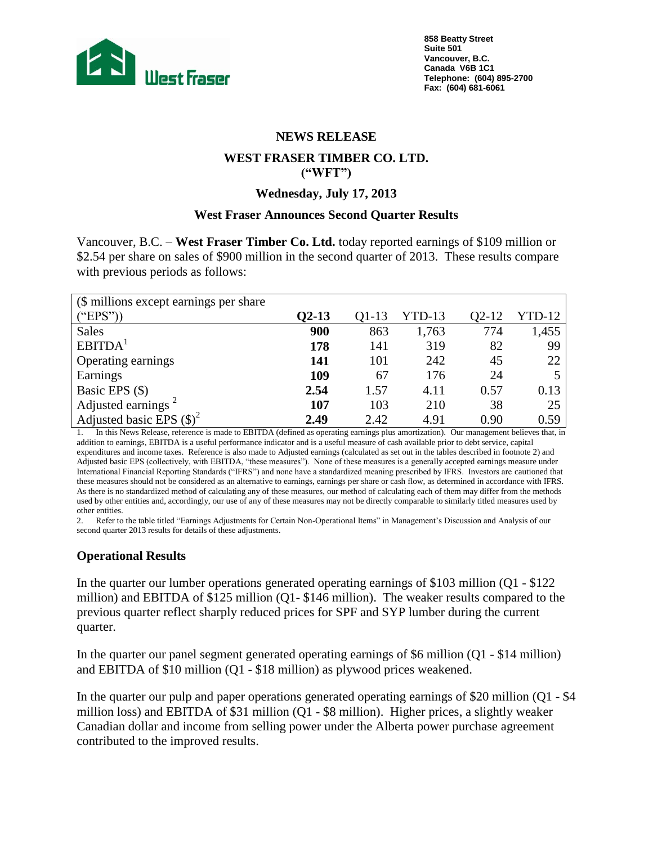

#### **NEWS RELEASE**

## **WEST FRASER TIMBER CO. LTD. ("WFT")**

#### **Wednesday, July 17, 2013**

#### **West Fraser Announces Second Quarter Results**

Vancouver, B.C. – **West Fraser Timber Co. Ltd.** today reported earnings of \$109 million or \$2.54 per share on sales of \$900 million in the second quarter of 2013. These results compare with previous periods as follows:

| (\$ millions except earnings per share) |              |       |          |       |        |
|-----------------------------------------|--------------|-------|----------|-------|--------|
| ("EPS")                                 | <b>Q2-13</b> | Q1-13 | $YTD-13$ | 02-12 | YTD-12 |
| <b>Sales</b>                            | 900          | 863   | 1,763    | 774   | 1,455  |
| EBITDA <sup>1</sup>                     | 178          | 141   | 319      | 82    | 99     |
| Operating earnings                      | 141          | 101   | 242      | 45    | 22     |
| Earnings                                | 109          | 67    | 176      | 24    |        |
| Basic EPS (\$)                          | 2.54         | 1.57  | 4.11     | 0.57  | 0.13   |
| Adjusted earnings <sup>2</sup>          | 107          | 103   | 210      | 38    | 25     |
| Adjusted basic EPS $(\$)^2$             | 2.49         | 2.42  | 4.91     | 0.90  | 0.59   |

1. In this News Release, reference is made to EBITDA (defined as operating earnings plus amortization). Our management believes that, in addition to earnings, EBITDA is a useful performance indicator and is a useful measure of cash available prior to debt service, capital expenditures and income taxes. Reference is also made to Adjusted earnings (calculated as set out in the tables described in footnote 2) and Adjusted basic EPS (collectively, with EBITDA, "these measures"). None of these measures is a generally accepted earnings measure under International Financial Reporting Standards ("IFRS") and none have a standardized meaning prescribed by IFRS. Investors are cautioned that these measures should not be considered as an alternative to earnings, earnings per share or cash flow, as determined in accordance with IFRS. As there is no standardized method of calculating any of these measures, our method of calculating each of them may differ from the methods used by other entities and, accordingly, our use of any of these measures may not be directly comparable to similarly titled measures used by other entities.

2. Refer to the table titled "Earnings Adjustments for Certain Non-Operational Items" in Management's Discussion and Analysis of our second quarter 2013 results for details of these adjustments.

## **Operational Results**

In the quarter our lumber operations generated operating earnings of \$103 million (Q1 - \$122 million) and EBITDA of \$125 million (Q1- \$146 million). The weaker results compared to the previous quarter reflect sharply reduced prices for SPF and SYP lumber during the current quarter.

In the quarter our panel segment generated operating earnings of \$6 million (Q1 - \$14 million) and EBITDA of \$10 million (Q1 - \$18 million) as plywood prices weakened.

In the quarter our pulp and paper operations generated operating earnings of \$20 million (Q1 - \$4 million loss) and EBITDA of \$31 million (Q1 - \$8 million). Higher prices, a slightly weaker Canadian dollar and income from selling power under the Alberta power purchase agreement contributed to the improved results.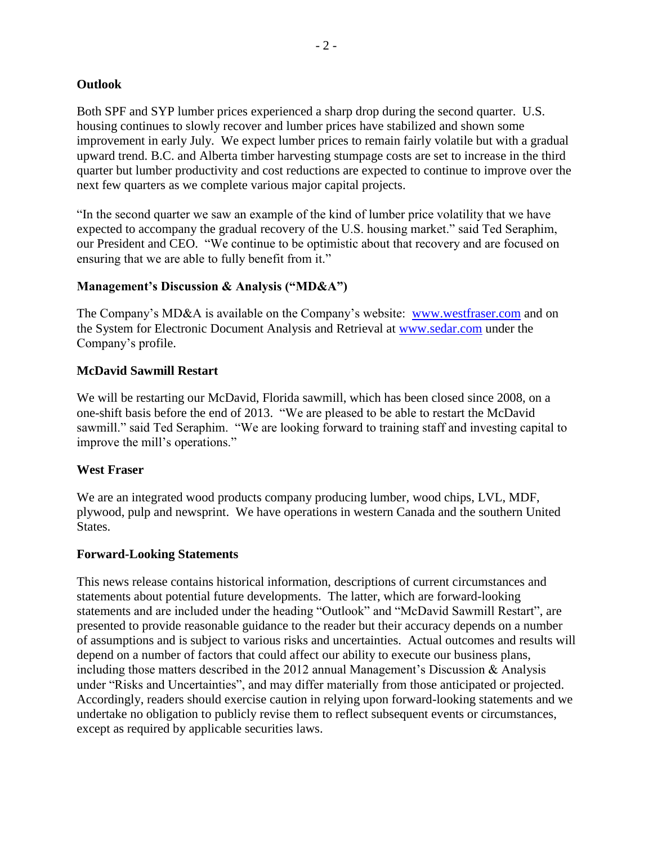### **Outlook**

Both SPF and SYP lumber prices experienced a sharp drop during the second quarter. U.S. housing continues to slowly recover and lumber prices have stabilized and shown some improvement in early July. We expect lumber prices to remain fairly volatile but with a gradual upward trend. B.C. and Alberta timber harvesting stumpage costs are set to increase in the third quarter but lumber productivity and cost reductions are expected to continue to improve over the next few quarters as we complete various major capital projects.

"In the second quarter we saw an example of the kind of lumber price volatility that we have expected to accompany the gradual recovery of the U.S. housing market." said Ted Seraphim, our President and CEO. "We continue to be optimistic about that recovery and are focused on ensuring that we are able to fully benefit from it."

## **Management's Discussion & Analysis ("MD&A")**

The Company's MD&A is available on the Company's website: www.westfraser.com and on the System for Electronic Document Analysis and Retrieval at www.sedar.com under the Company's profile.

## **McDavid Sawmill Restart**

We will be restarting our McDavid, Florida sawmill, which has been closed since 2008, on a one-shift basis before the end of 2013. "We are pleased to be able to restart the McDavid sawmill." said Ted Seraphim. "We are looking forward to training staff and investing capital to improve the mill's operations."

### **West Fraser**

We are an integrated wood products company producing lumber, wood chips, LVL, MDF, plywood, pulp and newsprint. We have operations in western Canada and the southern United States.

### **Forward-Looking Statements**

This news release contains historical information, descriptions of current circumstances and statements about potential future developments. The latter, which are forward-looking statements and are included under the heading "Outlook" and "McDavid Sawmill Restart", are presented to provide reasonable guidance to the reader but their accuracy depends on a number of assumptions and is subject to various risks and uncertainties. Actual outcomes and results will depend on a number of factors that could affect our ability to execute our business plans, including those matters described in the 2012 annual Management's Discussion  $\&$  Analysis under "Risks and Uncertainties", and may differ materially from those anticipated or projected. Accordingly, readers should exercise caution in relying upon forward-looking statements and we undertake no obligation to publicly revise them to reflect subsequent events or circumstances, except as required by applicable securities laws.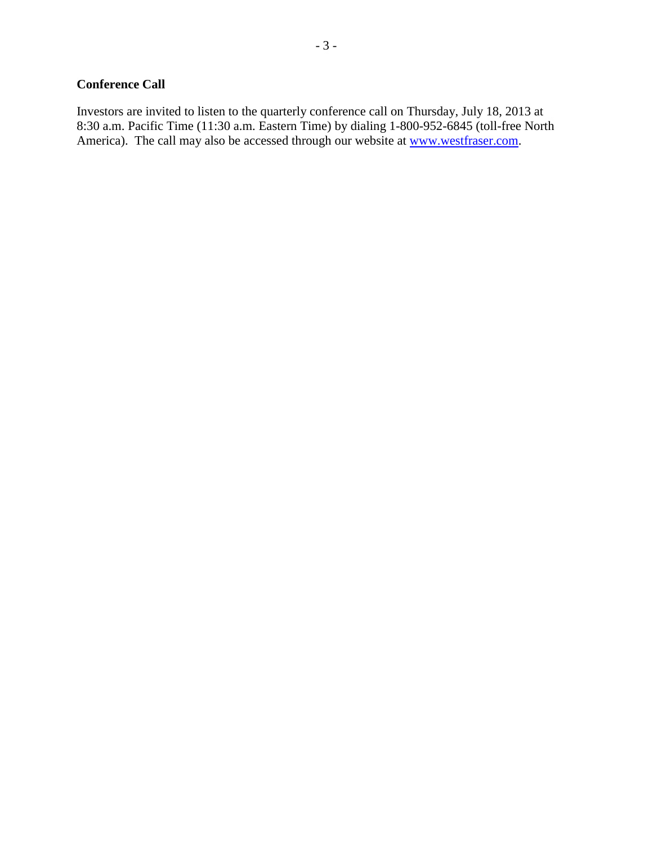## **Conference Call**

Investors are invited to listen to the quarterly conference call on Thursday, July 18, 2013 at 8:30 a.m. Pacific Time (11:30 a.m. Eastern Time) by dialing 1-800-952-6845 (toll-free North America). The call may also be accessed through our website at www.westfraser.com.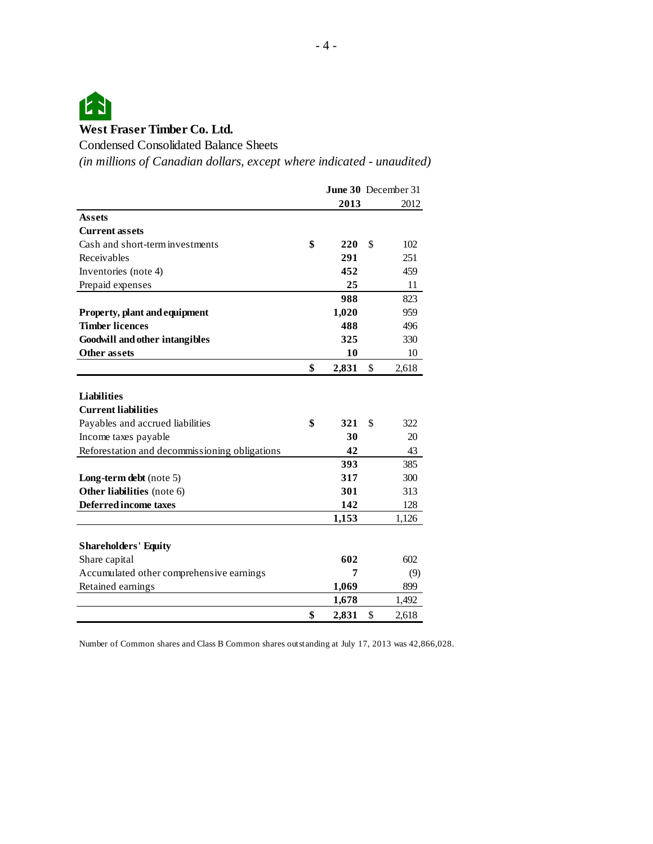

Condensed Consolidated Balance Sheets

*(in millions of Canadian dollars, except where indicated - unaudited)*

|                                               |             | <b>June 30</b> December 31 |
|-----------------------------------------------|-------------|----------------------------|
|                                               | 2013        | 2012                       |
| <b>Assets</b>                                 |             |                            |
| <b>Current assets</b>                         |             |                            |
| Cash and short-term investments               | \$<br>220   | \$<br>102                  |
| Receivables                                   | 291         | 251                        |
| Inventories (note 4)                          | 452         | 459                        |
| Prepaid expenses                              | 25          | 11                         |
|                                               | 988         | 823                        |
| Property, plant and equipment                 | 1,020       | 959                        |
| <b>Timber licences</b>                        | 488         | 496                        |
| <b>Goodwill and other intangibles</b>         | 325         | 330                        |
| <b>Other assets</b>                           | 10          | 10                         |
|                                               | \$<br>2,831 | \$<br>2,618                |
|                                               |             |                            |
| <b>Liabilities</b>                            |             |                            |
| <b>Current liabilities</b>                    |             |                            |
| Payables and accrued liabilities              | \$<br>321   | \$<br>322                  |
| Income taxes payable                          | 30          | 20                         |
| Reforestation and decommissioning obligations | 42          | 43                         |
|                                               | 393         | 385                        |
| Long-term debt (note 5)                       | 317         | 300                        |
| Other liabilities (note 6)                    | 301         | 313                        |
| <b>Deferred income taxes</b>                  | 142         | 128                        |
|                                               | 1,153       | 1,126                      |
|                                               |             |                            |
| <b>Shareholders' Equity</b>                   |             |                            |
| Share capital                                 | 602         | 602                        |
| Accumulated other comprehensive earnings      | 7           | (9)                        |
| Retained earnings                             | 1,069       | 899                        |
|                                               | 1,678       | 1,492                      |
|                                               | \$<br>2.831 | \$<br>2,618                |

Number of Common shares and Class B Common shares outstanding at July 17, 2013 was 42,866,028.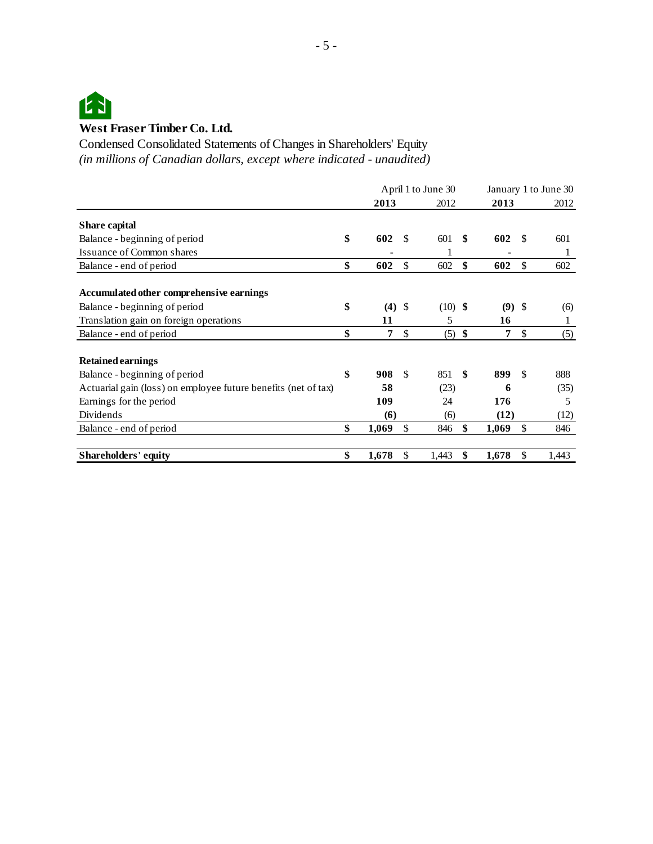

*(in millions of Canadian dollars, except where indicated - unaudited)* Condensed Consolidated Statements of Changes in Shareholders' Equity

|                                                                | April 1 to June 30 |     |           |     | January 1 to June 30 |    |       |
|----------------------------------------------------------------|--------------------|-----|-----------|-----|----------------------|----|-------|
|                                                                | 2013               |     | 2012      |     | 2013                 |    | 2012  |
| Share capital                                                  |                    |     |           |     |                      |    |       |
| Balance - beginning of period                                  | \$<br>602          | S.  | 601       | -\$ | 602                  | £. | 601   |
| Issuance of Common shares                                      |                    |     |           |     |                      |    | 1     |
| Balance - end of period                                        | \$<br>602          | \$  | 602       | \$  | 602                  | \$ | 602   |
| Accumulated other comprehensive earnings                       |                    |     |           |     |                      |    |       |
| Balance - beginning of period                                  | \$<br>(4)          | -\$ | $(10)$ \$ |     | $(9)$ \$             |    | (6)   |
| Translation gain on foreign operations                         | 11                 |     | 5         |     | 16                   |    | 1     |
| Balance - end of period                                        | \$<br>7            | \$  | $(5)$ \$  |     | 7                    | \$ | (5)   |
| <b>Retained earnings</b>                                       |                    |     |           |     |                      |    |       |
| Balance - beginning of period                                  | \$<br>908          | \$  | 851       | -\$ | 899                  | \$ | 888   |
| Actuarial gain (loss) on employee future benefits (net of tax) | 58                 |     | (23)      |     | 6                    |    | (35)  |
| Earnings for the period                                        | 109                |     | 24        |     | 176                  |    | 5     |
| Dividends                                                      | (6)                |     | (6)       |     | (12)                 |    | (12)  |
| Balance - end of period                                        | \$<br>1,069        | \$  | 846       | \$  | 1,069                | \$ | 846   |
| <b>Shareholders' equity</b>                                    | \$<br>1,678        | \$  | 1,443     | \$  | 1,678                | \$ | 1,443 |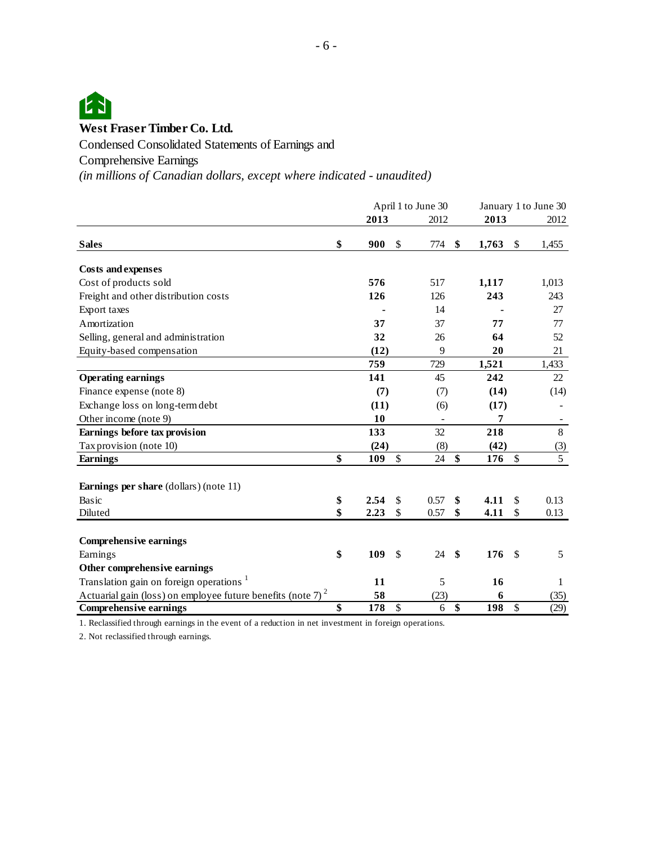

Condensed Consolidated Statements of Earnings and

Comprehensive Earnings

*(in millions of Canadian dollars, except where indicated - unaudited)*

|                                                                 | April 1 to June 30 |      |    |                          | January 1 to June 30 |              |                |
|-----------------------------------------------------------------|--------------------|------|----|--------------------------|----------------------|--------------|----------------|
|                                                                 |                    | 2013 |    | 2012                     | 2013                 |              | 2012           |
| <b>Sales</b>                                                    | \$                 | 900  | \$ | 774                      | \$<br>1,763          | \$           | 1,455          |
| <b>Costs and expenses</b>                                       |                    |      |    |                          |                      |              |                |
| Cost of products sold                                           |                    | 576  |    | 517                      | 1,117                |              | 1,013          |
| Freight and other distribution costs                            |                    | 126  |    | 126                      | 243                  |              | 243            |
| Export taxes                                                    |                    |      |    | 14                       |                      |              | 27             |
| Amortization                                                    |                    | 37   |    | 37                       | 77                   |              | 77             |
| Selling, general and administration                             |                    | 32   |    | 26                       | 64                   |              | 52             |
| Equity-based compensation                                       |                    | (12) |    | 9                        | 20                   |              | 21             |
|                                                                 |                    | 759  |    | 729                      | 1,521                |              | 1,433          |
| <b>Operating earnings</b>                                       |                    | 141  |    | 45                       | 242                  |              | 22             |
| Finance expense (note 8)                                        |                    | (7)  |    | (7)                      | (14)                 |              | (14)           |
| Exchange loss on long-term debt                                 |                    | (11) |    | (6)                      | (17)                 |              |                |
| Other income (note 9)                                           |                    | 10   |    | $\overline{\phantom{a}}$ | 7                    |              |                |
| Earnings before tax provision                                   |                    | 133  |    | 32                       | 218                  |              | $8\,$          |
| Tax provision (note 10)                                         |                    | (24) |    | (8)                      | (42)                 |              | (3)            |
| <b>Earnings</b>                                                 | \$                 | 109  | \$ | 24                       | \$<br>176            | $\mathbb{S}$ | $\overline{5}$ |
| Earnings per share (dollars) (note 11)                          |                    |      |    |                          |                      |              |                |
| Basic                                                           | \$                 | 2.54 | \$ | 0.57                     | \$<br>4.11           | \$           | 0.13           |
| Diluted                                                         | \$                 | 2.23 | \$ | 0.57                     | \$<br>4.11           | \$           | 0.13           |
| <b>Comprehensive earnings</b>                                   |                    |      |    |                          |                      |              |                |
| Earnings                                                        | \$                 | 109  | \$ | 24                       | \$<br>176            | \$           | 5              |
| Other comprehensive earnings                                    |                    |      |    |                          |                      |              |                |
| Translation gain on foreign operations <sup>1</sup>             |                    | 11   |    | 5                        | 16                   |              | 1              |
| Actuarial gain (loss) on employee future benefits (note 7) $^2$ |                    | 58   |    | (23)                     | 6                    |              | (35)           |
| <b>Comprehensive earnings</b>                                   | \$                 | 178  | \$ | 6                        | \$<br>198            | \$           | (29)           |

1. Reclassified through earnings in the event of a reduction in net investment in foreign operations.

2. Not reclassified through earnings.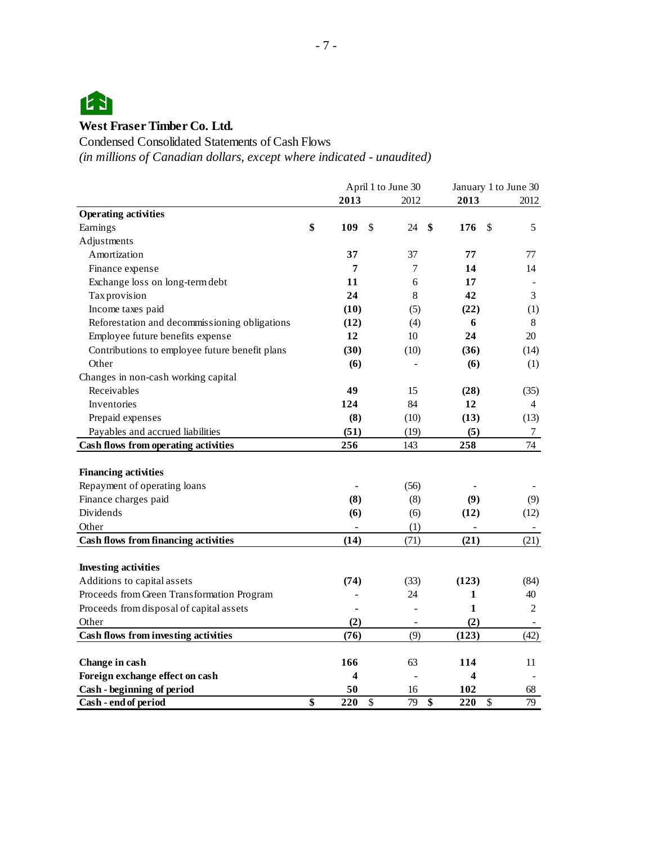

Condensed Consolidated Statements of Cash Flows

*(in millions of Canadian dollars, except where indicated - unaudited)*

|                                                | April 1 to June 30 |    |      | January 1 to June 30 |    |      |
|------------------------------------------------|--------------------|----|------|----------------------|----|------|
|                                                | 2013               |    | 2012 | 2013                 |    | 2012 |
| <b>Operating activities</b>                    |                    |    |      |                      |    |      |
| Earnings                                       | \$<br>109          | \$ | 24   | \$<br>176            | \$ | 5    |
| Adjustments                                    |                    |    |      |                      |    |      |
| Amortization                                   | 37                 |    | 37   | 77                   |    | 77   |
| Finance expense                                | 7                  |    | 7    | 14                   |    | 14   |
| Exchange loss on long-term debt                | 11                 |    | 6    | 17                   |    |      |
| Tax provision                                  | 24                 |    | 8    | 42                   |    | 3    |
| Income taxes paid                              | (10)               |    | (5)  | (22)                 |    | (1)  |
| Reforestation and decommissioning obligations  | (12)               |    | (4)  | 6                    |    | 8    |
| Employee future benefits expense               | 12                 |    | 10   | 24                   |    | 20   |
| Contributions to employee future benefit plans | (30)               |    | (10) | (36)                 |    | (14) |
| Other                                          | (6)                |    |      | (6)                  |    | (1)  |
| Changes in non-cash working capital            |                    |    |      |                      |    |      |
| Receivables                                    | 49                 |    | 15   | (28)                 |    | (35) |
| Inventories                                    | 124                |    | 84   | 12                   |    | 4    |
| Prepaid expenses                               | (8)                |    | (10) | (13)                 |    | (13) |
| Payables and accrued liabilities               | (51)               |    | (19) | (5)                  |    | 7    |
| Cash flows from operating activities           | 256                |    | 143  | 258                  |    | 74   |
|                                                |                    |    |      |                      |    |      |
| <b>Financing activities</b>                    |                    |    |      |                      |    |      |
| Repayment of operating loans                   |                    |    | (56) |                      |    |      |
| Finance charges paid                           | (8)                |    | (8)  | (9)                  |    | (9)  |
| Dividends                                      | (6)                |    | (6)  | (12)                 |    | (12) |
| Other                                          |                    |    | (1)  |                      |    |      |
| <b>Cash flows from financing activities</b>    | (14)               |    | (71) | (21)                 |    | (21) |
|                                                |                    |    |      |                      |    |      |
| <b>Investing activities</b>                    |                    |    |      |                      |    |      |
| Additions to capital assets                    | (74)               |    | (33) | (123)                |    | (84) |
| Proceeds from Green Transformation Program     |                    |    | 24   | 1                    |    | 40   |
| Proceeds from disposal of capital assets       |                    |    |      | 1                    |    | 2    |
| Other                                          | (2)                |    |      | (2)                  |    |      |
| Cash flows from investing activities           | (76)               |    | (9)  | (123)                |    | (42) |
|                                                |                    |    |      |                      |    |      |
| Change in cash                                 | 166                |    | 63   | 114                  |    | 11   |
| Foreign exchange effect on cash                | 4                  |    |      | 4                    |    |      |
| Cash - beginning of period                     | 50                 |    | 16   | 102                  |    | 68   |
| Cash - end of period                           | \$<br>220          | \$ | 79   | \$<br>220            | \$ | 79   |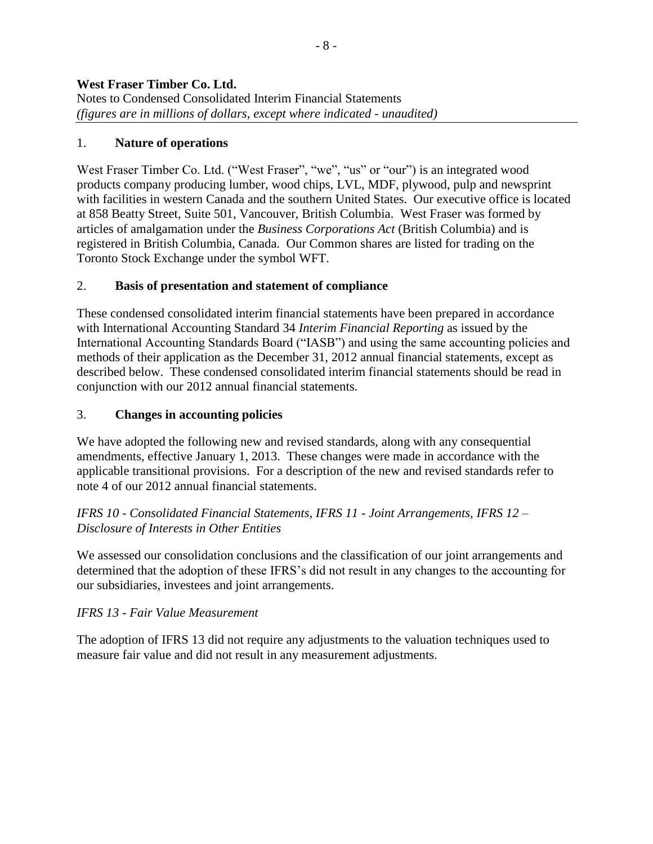## 1. **Nature of operations**

West Fraser Timber Co. Ltd. ("West Fraser", "we", "us" or "our") is an integrated wood products company producing lumber, wood chips, LVL, MDF, plywood, pulp and newsprint with facilities in western Canada and the southern United States. Our executive office is located at 858 Beatty Street, Suite 501, Vancouver, British Columbia. West Fraser was formed by articles of amalgamation under the *Business Corporations Act* (British Columbia) and is registered in British Columbia, Canada. Our Common shares are listed for trading on the Toronto Stock Exchange under the symbol WFT.

## 2. **Basis of presentation and statement of compliance**

These condensed consolidated interim financial statements have been prepared in accordance with International Accounting Standard 34 *Interim Financial Reporting* as issued by the International Accounting Standards Board ("IASB") and using the same accounting policies and methods of their application as the December 31, 2012 annual financial statements, except as described below. These condensed consolidated interim financial statements should be read in conjunction with our 2012 annual financial statements.

## 3. **Changes in accounting policies**

We have adopted the following new and revised standards, along with any consequential amendments, effective January 1, 2013. These changes were made in accordance with the applicable transitional provisions. For a description of the new and revised standards refer to note 4 of our 2012 annual financial statements.

*IFRS 10 - Consolidated Financial Statements, IFRS 11 - Joint Arrangements, IFRS 12 – Disclosure of Interests in Other Entities*

We assessed our consolidation conclusions and the classification of our joint arrangements and determined that the adoption of these IFRS's did not result in any changes to the accounting for our subsidiaries, investees and joint arrangements.

### *IFRS 13 - Fair Value Measurement*

The adoption of IFRS 13 did not require any adjustments to the valuation techniques used to measure fair value and did not result in any measurement adjustments.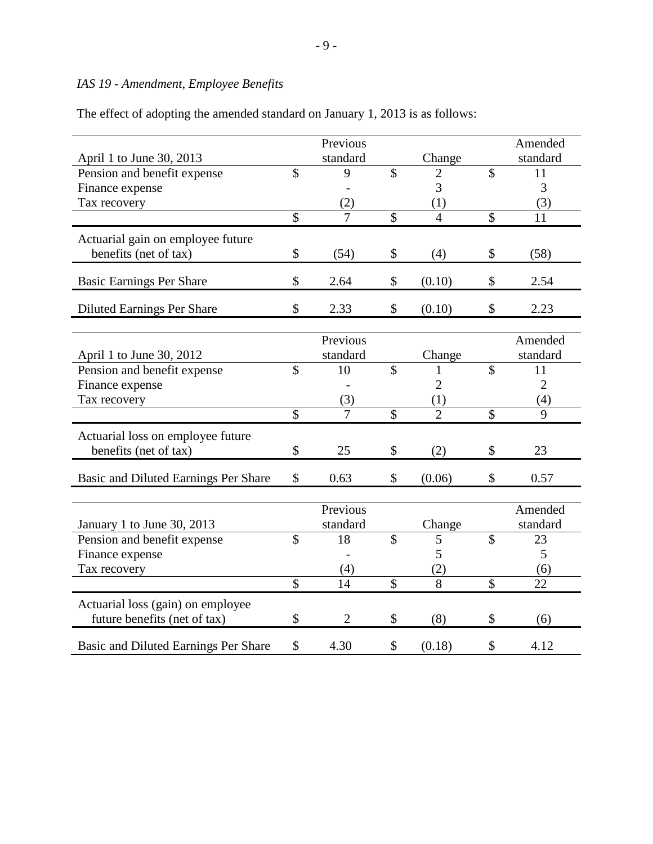## *IAS 19 - Amendment, Employee Benefits*

The effect of adopting the amended standard on January 1, 2013 is as follows:

|                                      |                           | Previous       |                          |                |                          | Amended        |
|--------------------------------------|---------------------------|----------------|--------------------------|----------------|--------------------------|----------------|
| April 1 to June 30, 2013             |                           | standard       |                          | Change         |                          | standard       |
| Pension and benefit expense          | \$                        | 9              | $\overline{\mathcal{S}}$ | 2              | $\overline{\mathcal{S}}$ | 11             |
| Finance expense                      |                           |                |                          | 3              |                          | 3              |
| Tax recovery                         |                           | (2)            |                          | (1)            |                          | (3)            |
|                                      | $\overline{\mathcal{S}}$  | $\overline{7}$ | $\overline{\mathcal{S}}$ | $\overline{4}$ | $\mathsf{\$}$            | 11             |
| Actuarial gain on employee future    |                           |                |                          |                |                          |                |
| benefits (net of tax)                | \$                        | (54)           | \$                       | (4)            | \$                       | (58)           |
| <b>Basic Earnings Per Share</b>      | $\mathcal{S}$             | 2.64           | \$                       | (0.10)         | $\mathcal{S}$            | 2.54           |
| <b>Diluted Earnings Per Share</b>    | \$                        | 2.33           | \$                       | (0.10)         | \$                       | 2.23           |
|                                      |                           |                |                          |                |                          |                |
|                                      |                           | Previous       |                          |                |                          | Amended        |
| April 1 to June 30, 2012             |                           | standard       |                          | Change         |                          | standard       |
| Pension and benefit expense          | $\mathcal{S}$             | 10             | $\overline{\mathcal{S}}$ | 1              | \$                       | 11             |
| Finance expense                      |                           |                |                          | $\overline{2}$ |                          | $\overline{2}$ |
| Tax recovery                         |                           | (3)            |                          | (1)            |                          | (4)            |
|                                      | $\overline{\mathcal{S}}$  | $\overline{7}$ | $\overline{\$}$          | $\overline{2}$ | $\overline{\mathcal{S}}$ | $\overline{9}$ |
| Actuarial loss on employee future    |                           |                |                          |                |                          |                |
| benefits (net of tax)                | \$                        | 25             | \$                       | (2)            | \$                       | 23             |
|                                      |                           |                |                          |                |                          |                |
| Basic and Diluted Earnings Per Share | \$                        | 0.63           | \$                       | (0.06)         | \$                       | 0.57           |
|                                      |                           |                |                          |                |                          |                |
|                                      |                           | Previous       |                          |                |                          | Amended        |
| January 1 to June 30, 2013           |                           | standard       |                          | Change         |                          | standard       |
| Pension and benefit expense          | $\mathcal{S}$             | 18             | $\overline{\mathcal{S}}$ | 5              | $\mathbb{S}$             | 23             |
| Finance expense                      |                           |                |                          | 5              |                          | 5              |
| Tax recovery                         |                           | (4)            |                          | (2)            |                          | (6)            |
|                                      | $\boldsymbol{\mathsf{S}}$ | 14             | $\overline{\$}$          | 8              | \$                       | 22             |
| Actuarial loss (gain) on employee    |                           |                |                          |                |                          |                |
| future benefits (net of tax)         | \$                        | $\overline{2}$ | \$                       | (8)            | \$                       | (6)            |
| Basic and Diluted Earnings Per Share | \$                        | 4.30           | \$                       | (0.18)         | \$                       | 4.12           |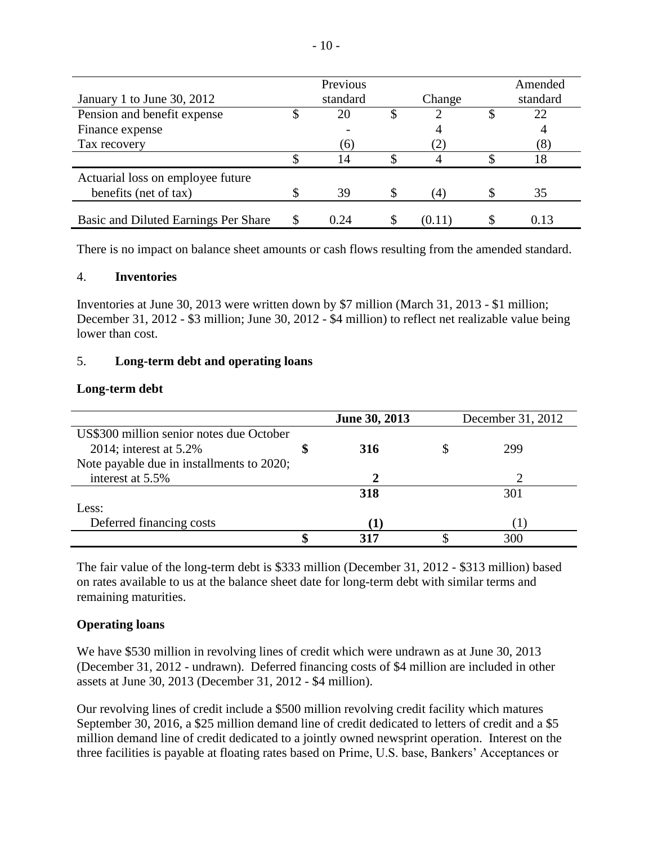|                                      | Previous | Amended |          |
|--------------------------------------|----------|---------|----------|
| January 1 to June 30, 2012           | standard | Change  | standard |
| Pension and benefit expense          | 20       |         | 22       |
| Finance expense                      |          |         |          |
| Tax recovery                         | (6)      |         | (8)      |
|                                      | 14       |         | 18       |
| Actuarial loss on employee future    |          |         |          |
| benefits (net of tax)                | 39       | (4)     | 35       |
| Basic and Diluted Earnings Per Share | 0.24     | (0.11)  | 0.13     |

There is no impact on balance sheet amounts or cash flows resulting from the amended standard.

#### 4. **Inventories**

Inventories at June 30, 2013 were written down by \$7 million (March 31, 2013 - \$1 million; December 31, 2012 - \$3 million; June 30, 2012 - \$4 million) to reflect net realizable value being lower than cost.

### 5. **Long-term debt and operating loans**

### **Long-term debt**

|                                           | June 30, 2013 | December 31, 2012 |     |  |  |  |
|-------------------------------------------|---------------|-------------------|-----|--|--|--|
| US\$300 million senior notes due October  |               |                   |     |  |  |  |
| 2014; interest at $5.2\%$                 | 316           |                   | 299 |  |  |  |
| Note payable due in installments to 2020; |               |                   |     |  |  |  |
| interest at 5.5%                          |               |                   |     |  |  |  |
|                                           | 318           |                   | 301 |  |  |  |
| Less:                                     |               |                   |     |  |  |  |
| Deferred financing costs                  |               |                   |     |  |  |  |
|                                           | 317           |                   |     |  |  |  |

The fair value of the long-term debt is \$333 million (December 31, 2012 - \$313 million) based on rates available to us at the balance sheet date for long-term debt with similar terms and remaining maturities.

## **Operating loans**

We have \$530 million in revolving lines of credit which were undrawn as at June 30, 2013 (December 31, 2012 - undrawn). Deferred financing costs of \$4 million are included in other assets at June 30, 2013 (December 31, 2012 - \$4 million).

Our revolving lines of credit include a \$500 million revolving credit facility which matures September 30, 2016, a \$25 million demand line of credit dedicated to letters of credit and a \$5 million demand line of credit dedicated to a jointly owned newsprint operation. Interest on the three facilities is payable at floating rates based on Prime, U.S. base, Bankers' Acceptances or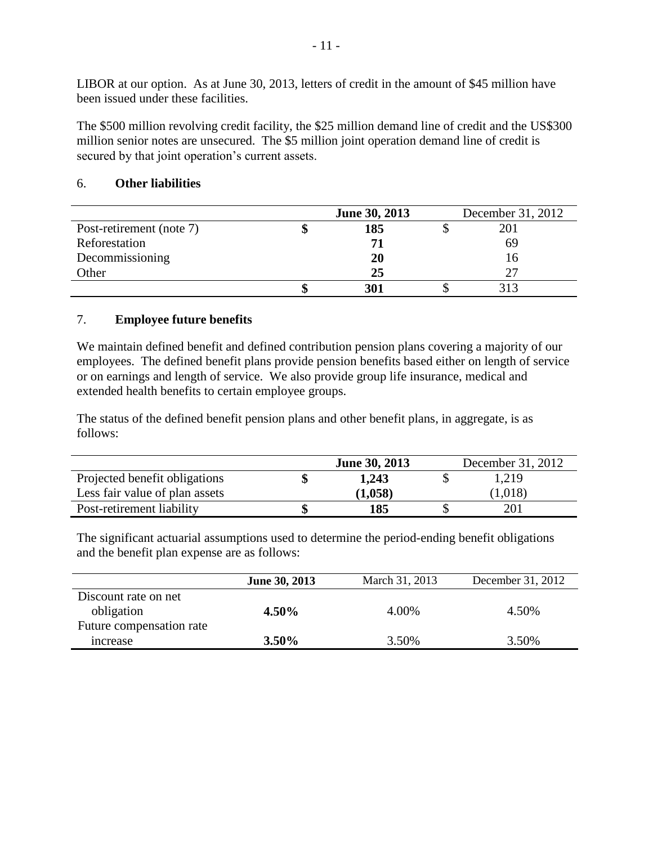LIBOR at our option. As at June 30, 2013, letters of credit in the amount of \$45 million have been issued under these facilities.

The \$500 million revolving credit facility, the \$25 million demand line of credit and the US\$300 million senior notes are unsecured. The \$5 million joint operation demand line of credit is secured by that joint operation's current assets.

|                          | June 30, 2013 | December 31, 2012 |
|--------------------------|---------------|-------------------|
| Post-retirement (note 7) | 185           | 201               |
| Reforestation            | -71           | 69                |
| Decommissioning          | 20            | Iб                |
| Other                    | 25            |                   |
|                          | 301           | 313               |

## 6. **Other liabilities**

### 7. **Employee future benefits**

We maintain defined benefit and defined contribution pension plans covering a majority of our employees. The defined benefit plans provide pension benefits based either on length of service or on earnings and length of service. We also provide group life insurance, medical and extended health benefits to certain employee groups.

The status of the defined benefit pension plans and other benefit plans, in aggregate, is as follows:

|                                | <b>June 30, 2013</b> | December 31, 2012 |
|--------------------------------|----------------------|-------------------|
| Projected benefit obligations  | 1,243                | 1,219             |
| Less fair value of plan assets | (1,058)              | (1,018)           |
| Post-retirement liability      | 185                  | 201               |

The significant actuarial assumptions used to determine the period-ending benefit obligations and the benefit plan expense are as follows:

|                          | June 30, 2013 | March 31, 2013 | December 31, 2012 |
|--------------------------|---------------|----------------|-------------------|
| Discount rate on net     |               |                |                   |
| obligation               | 4.50%         | 4.00%          | 4.50%             |
| Future compensation rate |               |                |                   |
| <i>ncrease</i>           | $3.50\%$      | 3.50%          | 3.50%             |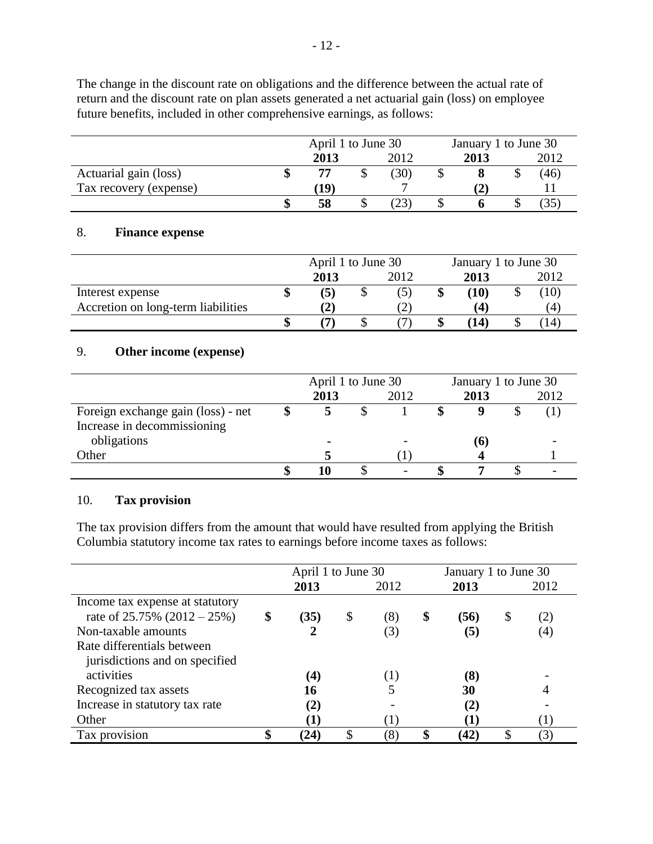The change in the discount rate on obligations and the difference between the actual rate of return and the discount rate on plan assets generated a net actuarial gain (loss) on employee future benefits, included in other comprehensive earnings, as follows:

|                        | April 1 to June 30 |  |      |  | January 1 to June 30 |  |      |  |
|------------------------|--------------------|--|------|--|----------------------|--|------|--|
|                        | 2013               |  | 2012 |  | 2013                 |  | 2012 |  |
| Actuarial gain (loss)  | 77                 |  | (30) |  |                      |  | (46) |  |
| Tax recovery (expense) | 19)                |  |      |  |                      |  |      |  |
|                        | 58                 |  | (23) |  |                      |  | (35) |  |

## 8. **Finance expense**

|                                    | April 1 to June 30 |      | January 1 to June 30 |      |  |      |  |  |
|------------------------------------|--------------------|------|----------------------|------|--|------|--|--|
|                                    | 2013               | 2012 |                      | 2013 |  | 2012 |  |  |
| Interest expense                   | (5)                |      |                      | (10) |  | (10) |  |  |
| Accretion on long-term liabilities |                    |      |                      | (4   |  | (4)  |  |  |
|                                    |                    |      |                      | (14) |  | (14) |  |  |

## 9. **Other income (expense)**

|                                    | April 1 to June 30 |      |  | January 1 to June 30 |  |      |
|------------------------------------|--------------------|------|--|----------------------|--|------|
|                                    | 2013               | 2012 |  | 2013                 |  | 2012 |
| Foreign exchange gain (loss) - net |                    |      |  |                      |  |      |
| Increase in decommissioning        |                    |      |  |                      |  |      |
| obligations                        |                    |      |  | (6)                  |  |      |
| Other                              |                    |      |  |                      |  |      |
|                                    |                    |      |  |                      |  |      |

### 10. **Tax provision**

The tax provision differs from the amount that would have resulted from applying the British Columbia statutory income tax rates to earnings before income taxes as follows:

|                                 | April 1 to June 30 |           | January 1 to June 30 |      |     |
|---------------------------------|--------------------|-----------|----------------------|------|-----|
|                                 | 2013               | 2012      | 2013                 | 2012 |     |
| Income tax expense at statutory |                    |           |                      |      |     |
| rate of $25.75\%$ (2012 – 25%)  | \$<br>(35)         | \$<br>(8) | \$<br>(56)           | \$   | (2) |
| Non-taxable amounts             |                    | 3         | (5)                  |      | (4) |
| Rate differentials between      |                    |           |                      |      |     |
| jurisdictions and on specified  |                    |           |                      |      |     |
| activities                      | $\left( 4\right)$  |           | (8)                  |      |     |
| Recognized tax assets           | 16                 |           | 30                   |      |     |
| Increase in statutory tax rate  | (2)                |           | (2)                  |      |     |
| Other                           |                    |           |                      |      |     |
| Tax provision                   | (24)               | (8        | \$<br>(42)           | \$   | (3) |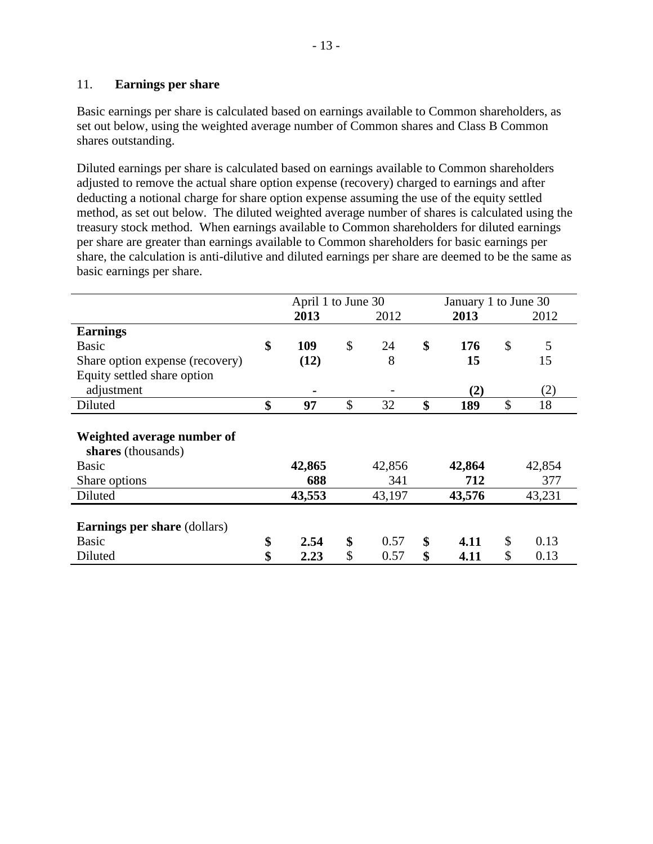### 11. **Earnings per share**

Basic earnings per share is calculated based on earnings available to Common shareholders, as set out below, using the weighted average number of Common shares and Class B Common shares outstanding.

Diluted earnings per share is calculated based on earnings available to Common shareholders adjusted to remove the actual share option expense (recovery) charged to earnings and after deducting a notional charge for share option expense assuming the use of the equity settled method, as set out below. The diluted weighted average number of shares is calculated using the treasury stock method. When earnings available to Common shareholders for diluted earnings per share are greater than earnings available to Common shareholders for basic earnings per share, the calculation is anti-dilutive and diluted earnings per share are deemed to be the same as basic earnings per share.

|                                                  | April 1 to June 30 |            |    | January 1 to June 30 |    |        |
|--------------------------------------------------|--------------------|------------|----|----------------------|----|--------|
|                                                  | 2013               | 2012       |    | 2013                 |    | 2012   |
| <b>Earnings</b>                                  |                    |            |    |                      |    |        |
| <b>Basic</b>                                     | \$<br>109          | \$<br>24   | \$ | 176                  | \$ | 5      |
| Share option expense (recovery)                  | (12)               | 8          |    | 15                   |    | 15     |
| Equity settled share option                      |                    |            |    |                      |    |        |
| adjustment                                       |                    |            |    | (2)                  |    | (2)    |
| Diluted                                          | \$<br>97           | \$<br>32   | \$ | 189                  | \$ | 18     |
| Weighted average number of<br>shares (thousands) |                    |            |    |                      |    |        |
| <b>Basic</b>                                     | 42,865             | 42,856     |    | 42,864               |    | 42,854 |
| Share options                                    | 688                | 341        |    | 712                  |    | 377    |
| Diluted                                          | 43,553             | 43,197     |    | 43,576               |    | 43,231 |
| <b>Earnings per share (dollars)</b>              |                    |            |    |                      |    |        |
| <b>Basic</b>                                     | \$<br>2.54         | \$<br>0.57 | \$ | 4.11                 | \$ | 0.13   |
| Diluted                                          | \$<br>2.23         | \$<br>0.57 | \$ | 4.11                 | \$ | 0.13   |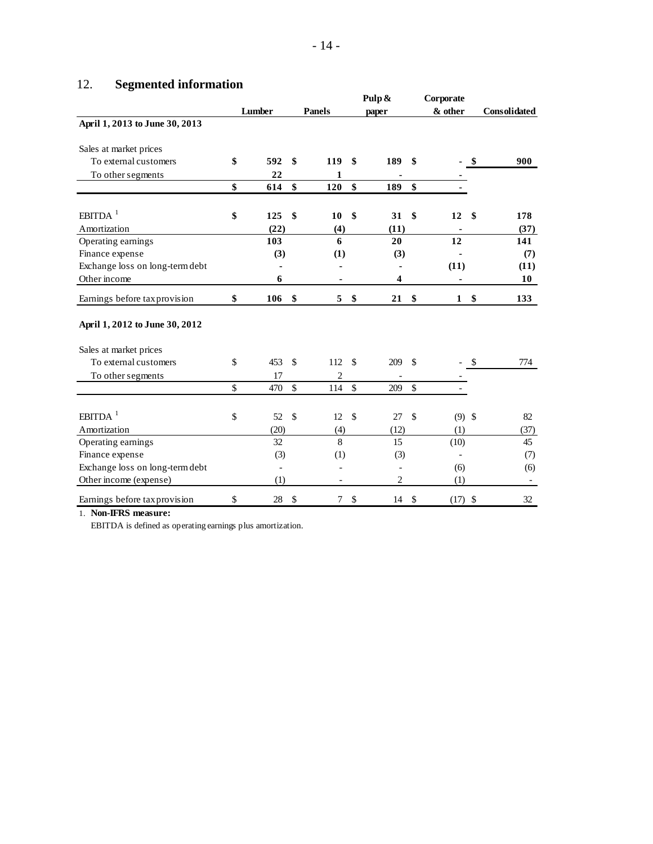# 12. **Segmented information**

| ⊥∠.<br>осдинни иногиканон       | Lumber    |               | <b>Panels</b> |               | Pulp &<br>paper |               | Corporate<br>& other |              | <b>Consolidated</b>      |
|---------------------------------|-----------|---------------|---------------|---------------|-----------------|---------------|----------------------|--------------|--------------------------|
| April 1, 2013 to June 30, 2013  |           |               |               |               |                 |               |                      |              |                          |
| Sales at market prices          |           |               |               |               |                 |               |                      |              |                          |
| To external customers           | \$<br>592 | \$            | 119           | \$            | 189             | \$            |                      | \$           | 900                      |
| To other segments               | 22        |               | 1             |               |                 |               |                      |              |                          |
|                                 | \$<br>614 | \$            | 120           | \$            | 189             | \$            |                      |              |                          |
| EBITDA $1$                      | \$<br>125 | \$            | 10            | \$            | 31              | \$            | 12                   | \$           | 178                      |
| Amortization                    | (22)      |               | (4)           |               | (11)            |               |                      |              | (37)                     |
| Operating earnings              | 103       |               | 6             |               | 20              |               | 12                   |              | 141                      |
| Finance expense                 | (3)       |               | (1)           |               | (3)             |               |                      |              | (7)                      |
| Exchange loss on long-term debt |           |               |               |               |                 |               | (11)                 |              | (11)                     |
| Other income                    | 6         |               | ۰             |               | 4               |               | ٠                    |              | 10                       |
| Earnings before tax provision   | \$<br>106 | \$            | 5             | \$            | 21              | \$            | $\mathbf{1}$         | \$           | 133                      |
| April 1, 2012 to June 30, 2012  |           |               |               |               |                 |               |                      |              |                          |
| Sales at market prices          |           |               |               |               |                 |               |                      |              |                          |
| To external customers           | \$<br>453 | <sup>\$</sup> | 112           | $\mathcal{S}$ | 209             | -\$           |                      | $\mathbb{S}$ | 774                      |
| To other segments               | 17        |               | 2             |               |                 |               |                      |              |                          |
|                                 | \$<br>470 | \$            | 114           | \$            | 209             | \$            |                      |              |                          |
| $EBITDA$ <sup>1</sup>           | \$<br>52  | $\mathbb{S}$  | 12            | $\mathcal{S}$ | 27              | $\mathcal{S}$ | $(9)$ \$             |              | 82                       |
| Amortization                    | (20)      |               | (4)           |               | (12)            |               | (1)                  |              | (37)                     |
| Operating earnings              | 32        |               | 8             |               | 15              |               | (10)                 |              | 45                       |
| Finance expense                 | (3)       |               | (1)           |               | (3)             |               | $\blacksquare$       |              | (7)                      |
| Exchange loss on long-term debt |           |               |               |               |                 |               | (6)                  |              | (6)                      |
| Other income (expense)          | (1)       |               |               |               | $\overline{c}$  |               | (1)                  |              | $\overline{\phantom{a}}$ |
| Earnings before tax provision   | \$<br>28  | \$            | $\tau$        | \$            | 14S             |               | $(17)$ \$            |              | 32                       |
| 1. Non-IFRS measure:            |           |               |               |               |                 |               |                      |              |                          |

EBITDA is defined as operating earnings plus amortization.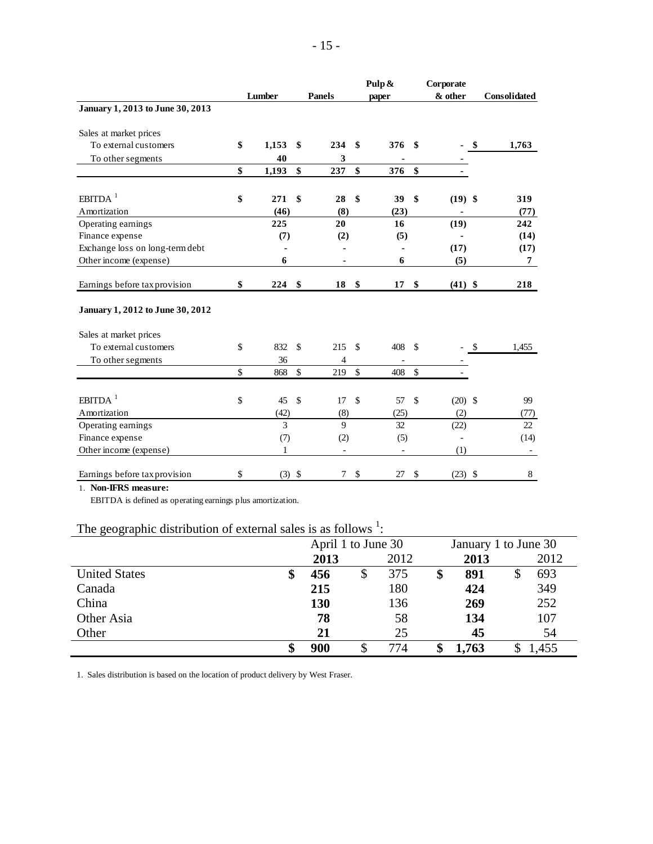|                                                                                    | Lumber         |               | <b>Panels</b> |                    | Pulp & |                    | Corporate<br>& other | Consolidated   |
|------------------------------------------------------------------------------------|----------------|---------------|---------------|--------------------|--------|--------------------|----------------------|----------------|
| January 1, 2013 to June 30, 2013                                                   |                |               |               |                    | paper  |                    |                      |                |
| Sales at market prices                                                             |                |               |               |                    |        |                    |                      |                |
| To external customers                                                              | \$<br>1,153    | \$            | 234           | \$                 | 376    | -\$                |                      | \$<br>1,763    |
| To other segments                                                                  | 40             |               | 3             |                    |        |                    |                      |                |
|                                                                                    | \$<br>1,193    | \$            | 237           | \$                 | 376    | \$                 |                      |                |
|                                                                                    |                |               |               |                    |        |                    |                      |                |
| $EBITDA$ <sup>1</sup>                                                              | \$<br>271      | \$            | 28            | \$                 | 39     | \$                 | $(19)$ \$            | 319            |
| Amortization                                                                       | (46)           |               | (8)           |                    | (23)   |                    | -                    | (77)           |
| Operating earnings                                                                 | 225            |               | 20            |                    | 16     |                    | (19)                 | 242            |
| Finance expense                                                                    | (7)            |               | (2)           |                    | (5)    |                    | ä,                   | (14)           |
| Exchange loss on long-term debt                                                    |                |               |               |                    |        |                    | (17)                 | (17)           |
| Other income (expense)                                                             | 6              |               |               |                    | 6      |                    | (5)                  | $\overline{7}$ |
| Earnings before tax provision                                                      | \$<br>224      | \$            | 18            | \$                 | 17     | \$                 | $(41)$ \$            | 218            |
| January 1, 2012 to June 30, 2012                                                   |                |               |               |                    |        |                    |                      |                |
| Sales at market prices                                                             |                |               |               |                    |        |                    |                      |                |
| To external customers                                                              | \$<br>832      | $\mathcal{S}$ | 215           | <sup>\$</sup>      | 408    | <sup>\$</sup>      |                      | \$<br>1,455    |
| To other segments                                                                  | 36             |               | 4             |                    |        |                    |                      |                |
|                                                                                    | \$<br>868      | $\mathcal{S}$ | 219           | $\mathbf{\hat{S}}$ | 408    | $\mathbf{\hat{S}}$ |                      |                |
| EBITDA <sup>1</sup>                                                                | \$<br>45       | $\mathcal{S}$ | 17            | \$                 | 57     | $\mathcal{S}$      | $(20)$ \$            | 99             |
| Amortization                                                                       | (42)           |               | (8)           |                    | (25)   |                    | (2)                  | (77)           |
| Operating earnings                                                                 | 3              |               | $\mathbf Q$   |                    | 32     |                    | (22)                 | 22             |
| Finance expense                                                                    | (7)            |               | (2)           |                    | (5)    |                    |                      | (14)           |
| Other income (expense)                                                             | 1              |               |               |                    |        |                    | (1)                  |                |
| Earnings before tax provision                                                      | \$<br>$(3)$ \$ |               | 7             | \$                 | 27     | \$                 | $(23)$ \$            | 8              |
| 1. Non-IFRS measure:<br>EBITDA is defined as operating earnings plus amortization. |                |               |               |                    |        |                    |                      |                |

## The geographic distribution of external sales is as follows  $\frac{1}{1}$ :

|                      | April 1 to June 30 |      | January 1 to June 30 |  |       |  |  |  |
|----------------------|--------------------|------|----------------------|--|-------|--|--|--|
|                      | 2013               | 2012 | 2013                 |  | 2012  |  |  |  |
| <b>United States</b> | \$<br>456          | 375  | \$<br>891            |  | 693   |  |  |  |
| Canada               | 215                | 180  | 424                  |  | 349   |  |  |  |
| China                | 130                | 136  | 269                  |  | 252   |  |  |  |
| Other Asia           | 78                 | 58   | 134                  |  | 107   |  |  |  |
| Other                | 21                 | 25   | 45                   |  | 54    |  |  |  |
|                      | \$<br>900          | 774  | 1,763                |  | 1,455 |  |  |  |

1. Sales distribution is based on the location of product delivery by West Fraser.